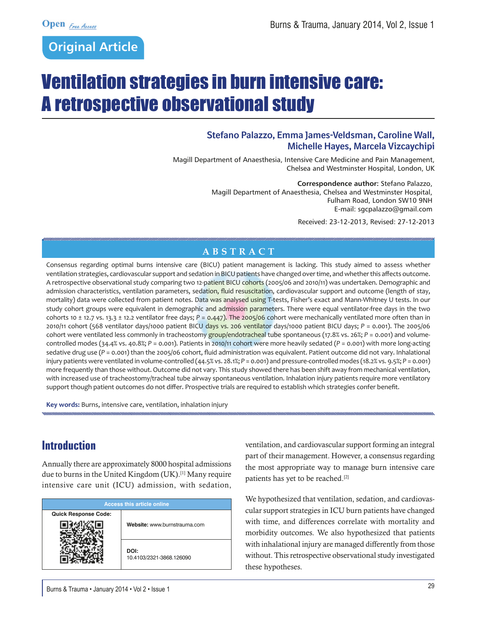# **Original Article**

# Ventilation strategies in burn intensive care: A retrospective observational study

# **Stefano Palazzo, Emma James-Veldsman, Caroline Wall, Michelle Hayes, Marcela Vizcaychipi**

Magill Department of Anaesthesia, Intensive Care Medicine and Pain Management, Chelsea and Westminster Hospital, London, UK

> **Correspondence author:** Stefano Palazzo, Magill Department of Anaesthesia, Chelsea and Westminster Hospital, Fulham Road, London SW10 9NH E-mail: sgcpalazzo@gmail.com

> > Received: 23-12-2013, Revised: 27-12-2013

### **ABSTRACT**

Consensus regarding optimal burns intensive care (BICU) patient management is lacking. This study aimed to assess whether ventilation strategies, cardiovascular support and sedation in BICU patients have changed over time, and whether this affects outcome. A retrospective observational study comparing two 12-patient BICU cohorts (2005/06 and 2010/11) was undertaken. Demographic and admission characteristics, ventilation parameters, sedation, fluid resuscitation, cardiovascular support and outcome (length of stay, mortality) data were collected from patient notes. Data was analysed using T-tests, Fisher's exact and Mann-Whitney U tests. In our study cohort groups were equivalent in demographic and admission parameters. There were equal ventilator-free days in the two cohorts 10 ± 12.7 vs. 13.3 ± 12.2 ventilator free days; *P* = 0.447). The 2005/06 cohort were mechanically ventilated more often than in 2010/11 cohort (568 ventilator days/1000 patient BICU days vs. 206 ventilator days/1000 patient BICU days; *P* = 0.001). The 2005/06 cohort were ventilated less commonly in tracheostomy group/endotracheal tube spontaneous (17.8% vs. 26%; *P* = 0.001) and volumecontrolled modes (34.4% vs. 40.8%; *P* = 0.001). Patients in 2010/11 cohort were more heavily sedated (*P* = 0.001) with more long-acting sedative drug use (P = 0.001) than the 2005/06 cohort, fluid administration was equivalent. Patient outcome did not vary. Inhalational injury patients were ventilated in volume-controlled (44.5% vs. 28.1%; *P* = 0.001) and pressure-controlled modes (18.2% vs. 9.5%; *P* = 0.001) more frequently than those without. Outcome did not vary. This study showed there has been shift away from mechanical ventilation, with increased use of tracheostomy/tracheal tube airway spontaneous ventilation. Inhalation injury patients require more ventilatory support though patient outcomes do not differ. Prospective trials are required to establish which strategies confer benefit.

**Key words:** Burns, intensive care, ventilation, inhalation injury

# **Introduction**

Annually there are approximately 8000 hospital admissions due to burns in the United Kingdom (UK).<sup>[1]</sup> Many require intensive care unit (ICU) admission, with sedation,

| <b>Access this article online</b> |                                  |  |  |
|-----------------------------------|----------------------------------|--|--|
| <b>Quick Response Code:</b>       |                                  |  |  |
|                                   | Website: www.burnstrauma.com     |  |  |
|                                   | DOI:<br>10.4103/2321-3868.126090 |  |  |

ventilation, and cardiovascular support forming an integral part of their management. However, a consensus regarding the most appropriate way to manage burn intensive care patients has yet to be reached.[2]

We hypothesized that ventilation, sedation, and cardiovascular support strategies in ICU burn patients have changed with time, and differences correlate with mortality and morbidity outcomes. We also hypothesized that patients with inhalational injury are managed differently from those without. This retrospective observational study investigated these hypotheses.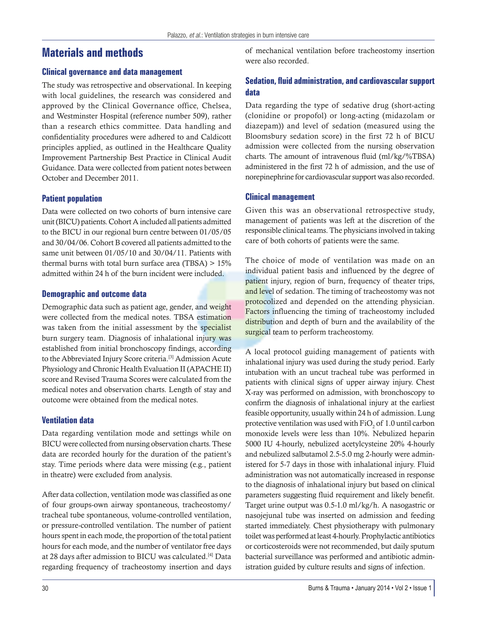# **Materials and methods**

#### **Clinical governance and data management**

The study was retrospective and observational. In keeping with local guidelines, the research was considered and approved by the Clinical Governance office, Chelsea, and Westminster Hospital (reference number 509), rather than a research ethics committee. Data handling and confidentiality procedures were adhered to and Caldicott principles applied, as outlined in the Healthcare Quality Improvement Partnership Best Practice in Clinical Audit Guidance. Data were collected from patient notes between October and December 2011.

### **Patient population**

Data were collected on two cohorts of burn intensive care unit (BICU) patients. Cohort A included all patients admitted to the BICU in our regional burn centre between 01/05/05 and 30/04/06. Cohort B covered all patients admitted to the same unit between 01/05/10 and 30/04/11. Patients with thermal burns with total burn surface area (TBSA) > 15% admitted within 24 h of the burn incident were included.

#### **Demographic and outcome data**

Demographic data such as patient age, gender, and weight were collected from the medical notes. TBSA estimation was taken from the initial assessment by the specialist burn surgery team. Diagnosis of inhalational injury was established from initial bronchoscopy findings, according to the Abbreviated Injury Score criteria.[3] Admission Acute Physiology and Chronic Health Evaluation II (APACHE II) score and Revised Trauma Scores were calculated from the medical notes and observation charts. Length of stay and outcome were obtained from the medical notes.

### **Ventilation data**

Data regarding ventilation mode and settings while on BICU were collected from nursing observation charts. These data are recorded hourly for the duration of the patient's stay. Time periods where data were missing (e.g., patient in theatre) were excluded from analysis.

After data collection, ventilation mode was classified as one of four groups-own airway spontaneous, tracheostomy/ tracheal tube spontaneous, volume-controlled ventilation, or pressure-controlled ventilation. The number of patient hours spent in each mode, the proportion of the total patient hours for each mode, and the number of ventilator free days at 28 days after admission to BICU was calculated.[4] Data regarding frequency of tracheostomy insertion and days of mechanical ventilation before tracheostomy insertion were also recorded.

## **Sedation, fluid administration, and cardiovascular support data**

Data regarding the type of sedative drug (short-acting (clonidine or propofol) or long-acting (midazolam or diazepam)) and level of sedation (measured using the Bloomsbury sedation score) in the first 72 h of BICU admission were collected from the nursing observation charts. The amount of intravenous fluid (ml/kg/%TBSA) administered in the first 72 h of admission, and the use of norepinephrine for cardiovascular support was also recorded.

### **Clinical management**

Given this was an observational retrospective study, management of patients was left at the discretion of the responsible clinical teams. The physicians involved in taking care of both cohorts of patients were the same.

The choice of mode of ventilation was made on an individual patient basis and influenced by the degree of patient injury, region of burn, frequency of theater trips, and level of sedation. The timing of tracheostomy was not protocolized and depended on the attending physician. Factors influencing the timing of tracheostomy included distribution and depth of burn and the availability of the surgical team to perform tracheostomy.

A local protocol guiding management of patients with inhalational injury was used during the study period. Early intubation with an uncut tracheal tube was performed in patients with clinical signs of upper airway injury. Chest X-ray was performed on admission, with bronchoscopy to confirm the diagnosis of inhalational injury at the earliest feasible opportunity, usually within 24 h of admission. Lung protective ventilation was used with  $\mathrm{FiO}_2$  of 1.0 until carbon monoxide levels were less than 10%. Nebulized heparin 5000 IU 4-hourly, nebulized acetylcysteine 20% 4-hourly and nebulized salbutamol 2.5-5.0 mg 2-hourly were administered for 5-7 days in those with inhalational injury. Fluid administration was not automatically increased in response to the diagnosis of inhalational injury but based on clinical parameters suggesting fluid requirement and likely benefit. Target urine output was 0.5-1.0 ml/kg/h. A nasogastric or nasojejunal tube was inserted on admission and feeding started immediately. Chest physiotherapy with pulmonary toilet was performed at least 4-hourly. Prophylactic antibiotics or corticosteroids were not recommended, but daily sputum bacterial surveillance was performed and antibiotic administration guided by culture results and signs of infection.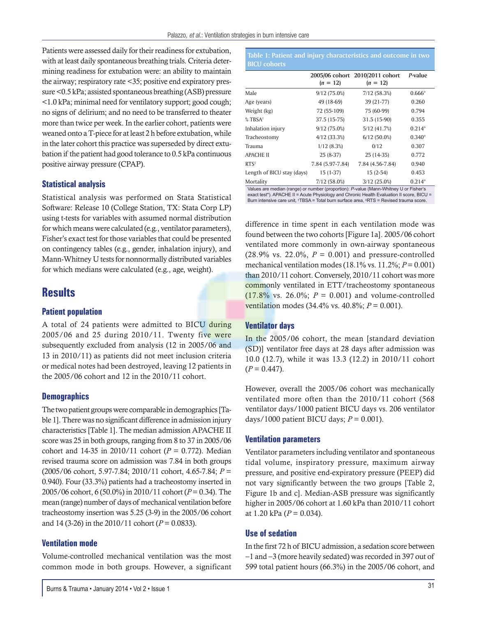Patients were assessed daily for their readiness for extubation, with at least daily spontaneous breathing trials. Criteria determining readiness for extubation were: an ability to maintain the airway; respiratory rate <35; positive end expiratory pressure <0.5 kPa; assisted spontaneous breathing (ASB) pressure <1.0 kPa; minimal need for ventilatory support; good cough; no signs of delirium; and no need to be transferred to theater more than twice per week. In the earlier cohort, patients were weaned onto a T-piece for at least 2 h before extubation, while in the later cohort this practice was superseded by direct extubation if the patient had good tolerance to 0.5 kPa continuous positive airway pressure (CPAP).

#### **Statistical analysis**

Statistical analysis was performed on Stata Statistical Software: Release 10 (College Station, TX: Stata Corp LP) using t-tests for variables with assumed normal distribution for which means were calculated (e.g., ventilator parameters), Fisher's exact test for those variables that could be presented on contingency tables (e.g., gender, inhalation injury), and Mann-Whitney U tests for nonnormally distributed variables for which medians were calculated (e.g., age, weight).

# **Results**

#### **Patient population**

A total of 24 patients were admitted to BICU during 2005/06 and 25 during 2010/11. Twenty five were subsequently excluded from analysis (12 in 2005/06 and 13 in 2010/11) as patients did not meet inclusion criteria or medical notes had been destroyed, leaving 12 patients in the 2005/06 cohort and 12 in the 2010/11 cohort.

#### **Demographics**

The two patient groups were comparable in demographics [Table 1]. There was no significant difference in admission injury characteristics [Table 1]. The median admission APACHE II score was 25 in both groups, ranging from 8 to 37 in 2005/06 cohort and 14-35 in 2010/11 cohort (*P* = 0.772). Median revised trauma score on admission was 7.84 in both groups (2005/06 cohort, 5.97-7.84; 2010/11 cohort, 4.65-7.84; *P* = 0.940). Four (33.3%) patients had a tracheostomy inserted in 2005/06 cohort, 6 (50.0%) in 2010/11 cohort (*P* = 0.34). The mean (range) number of days of mechanical ventilation before tracheostomy insertion was 5.25 (3-9) in the 2005/06 cohort and 14 (3-26) in the 2010/11 cohort (*P* = 0.0833).

#### **Ventilation mode**

Volume-controlled mechanical ventilation was the most common mode in both groups. However, a significant

#### **Table 1: Patient and injury characteristics and outcome in two BICU cohorts**

|                                                                                       | $(n = 12)$       | 2005/06 cohort 2010/2011 cohort<br>$(n = 12)$ | P-value  |  |
|---------------------------------------------------------------------------------------|------------------|-----------------------------------------------|----------|--|
| Male                                                                                  | $9/12(75.0\%)$   | 7/12(58.3%)                                   | $0.666*$ |  |
| Age (years)                                                                           | 49 (18-69)       | 39 (21-77)                                    | 0.260    |  |
| Weight (kg)                                                                           | 72 (55-109)      | 75 (60-99)                                    | 0.794    |  |
| % TBSA <sup>†</sup>                                                                   | 37.5 (15-75)     | 31.5 (15-90)                                  | 0.355    |  |
| Inhalation injury                                                                     | $9/12(75.0\%)$   | 5/12(41.7%)                                   | $0.214*$ |  |
| Tracheostomy                                                                          | $4/12$ (33.3%)   | $6/12(50.0\%)$                                | $0.340*$ |  |
| Trauma                                                                                | 1/12(8.3%)       | 0/12                                          | 0.307    |  |
| <b>APACHE II</b>                                                                      | $25(8-37)$       | $25(14-35)$                                   | 0.772    |  |
| $RTS^{\ddagger}$                                                                      | 7.84 (5.97-7.84) | 7.84 (4.56-7.84)                              | 0.940    |  |
| Length of BICU stay (days)                                                            | $15(1-37)$       | $15(2-54)$                                    | 0.453    |  |
| Mortality                                                                             | $7/12(58.0\%)$   | $3/12(25.0\%)$                                | $0.214*$ |  |
| Values are median (range) or number (proportion): P-value (Mann-Whitney U or Fisher's |                  |                                               |          |  |

exact test\*). APACHE II = Acute Physiology and Chronic Health Evaluation II score, BICU = Burn intensive care unit, † TBSA = Total burn surface area, ‡ RTS = Revised trauma score.

difference in time spent in each ventilation mode was found between the two cohorts [Figure 1a]. 2005/06 cohort ventilated more commonly in own-airway spontaneous  $(28.9\% \text{ vs. } 22.0\%, P = 0.001)$  and pressure-controlled mechanical ventilation modes (18.1% vs. 11.2%; *P* = 0.001) than 2010/11 cohort. Conversely, 2010/11 cohort was more commonly ventilated in ETT/tracheostomy spontaneous  $(17.8\% \text{ vs. } 26.0\%; P = 0.001)$  and volume-controlled ventilation modes (34.4% vs. 40.8%; *P* = 0.001).

#### **Ventilator days**

In the 2005/06 cohort, the mean [standard deviation (SD)] ventilator free days at 28 days after admission was 10.0 (12.7), while it was 13.3 (12.2) in 2010/11 cohort  $(P = 0.447)$ .

However, overall the 2005/06 cohort was mechanically ventilated more often than the 2010/11 cohort (568 ventilator days/1000 patient BICU days vs. 206 ventilator days/1000 patient BICU days; *P* = 0.001).

#### **Ventilation parameters**

Ventilator parameters including ventilator and spontaneous tidal volume, inspiratory pressure, maximum airway pressure, and positive end-expiratory pressure (PEEP) did not vary significantly between the two groups [Table 2, Figure 1b and c]. Median-ASB pressure was significantly higher in 2005/06 cohort at 1.60 kPa than 2010/11 cohort at 1.20 kPa (*P* = 0.034).

#### **Use of sedation**

In the first 72 h of BICU admission, a sedation score between −1 and −3 (more heavily sedated) was recorded in 397 out of 599 total patient hours (66.3%) in the 2005/06 cohort, and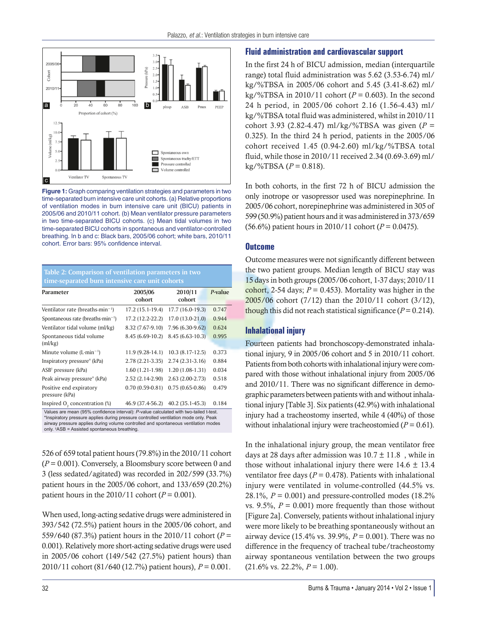

**Figure 1:** Graph comparing ventilation strategies and parameters in two time-separated burn intensive care unit cohorts*.* (a) Relative proportions of ventilation modes in burn intensive care unit (BICU) patients in 2005/06 and 2010/11 cohort. (b) Mean ventilator pressure parameters in two time-separated BICU cohorts. (c) Mean tidal volumes in two time-separated BICU cohorts in spontaneous and ventilator-controlled breathing. In b and c: Black bars, 2005/06 cohort; white bars, 2010/11 cohort. Error bars: 95% confidence interval.

**Table 2: Comparison of ventilation parameters in two time-separated burn intensive care unit cohorts**

| Parameter                                                                                                                                                                                                                                                                                                           | 2005/06<br>cohort | 2010/11<br>cohort                 | P-value |
|---------------------------------------------------------------------------------------------------------------------------------------------------------------------------------------------------------------------------------------------------------------------------------------------------------------------|-------------------|-----------------------------------|---------|
| Ventilator rate (breaths·min <sup>-1</sup> )                                                                                                                                                                                                                                                                        | 17.2 (15.1-19.4)  | 17.7 (16.0-19.3)                  | 0.747   |
| Spontaneous rate (breaths $\cdot$ min <sup>-1</sup> )                                                                                                                                                                                                                                                               | 17.2 (12.2-22.2)  | $17.0(13.0-21.0)$                 | 0.944   |
| Ventilator tidal volume (ml/kg)                                                                                                                                                                                                                                                                                     | 8.32 (7.67-9.10)  | 7.96 (6.30-9.62)                  | 0.624   |
| Spontaneous tidal volume                                                                                                                                                                                                                                                                                            | 8.45 (6.69-10.2)  | $8.45(6.63-10.3)$                 | 0.995   |
| (ml/kg)                                                                                                                                                                                                                                                                                                             |                   |                                   |         |
| Minute volume $(L \cdot min^{-1})$                                                                                                                                                                                                                                                                                  | 11.9 (9.28-14.1)  | $10.3(8.17-12.5)$                 | 0.373   |
| Inspiratory pressure* (kPa)                                                                                                                                                                                                                                                                                         | $2.78(2.21-3.35)$ | 2.74 (2.31-3.16)                  | 0.884   |
| $ASB†$ pressure (kPa)                                                                                                                                                                                                                                                                                               | 1.60 (1.21-1.98)  | $1.20(1.08-1.31)$                 | 0.034   |
| Peak airway pressure* (kPa)                                                                                                                                                                                                                                                                                         | 2.52 (2.14-2.90)  | $2.63(2.00-2.73)$                 | 0.518   |
| Positive end expiratory<br>pressure (kPa)                                                                                                                                                                                                                                                                           | $0.70(0.59-0.81)$ | $0.75(0.65-0.86)$                 | 0.479   |
| Inspired O <sub>2</sub> concentration (%)                                                                                                                                                                                                                                                                           |                   | 46.9 (37.4-56.2) 40.2 (35.1-45.3) | 0.184   |
| Values are mean (95% confidence interval): P-value calculated with two-tailed t-test.<br>*Inspiratory pressure applies during pressure controlled ventilation mode only. Peak<br>airway pressure applies during volume controlled and spontaneous ventilation modes<br>only. †ASB = Assisted spontaneous breathing. |                   |                                   |         |

526 of 659 total patient hours (79.8%) in the 2010/11 cohort (*P* = 0.001). Conversely, a Bloomsbury score between 0 and 3 (less sedated/agitated) was recorded in 202/599 (33.7%) patient hours in the 2005/06 cohort, and 133/659 (20.2%) patient hours in the  $2010/11$  cohort ( $P = 0.001$ ).

When used, long-acting sedative drugs were administered in 393/542 (72.5%) patient hours in the 2005/06 cohort, and 559/640 (87.3%) patient hours in the 2010/11 cohort (*P* = 0.001). Relatively more short-acting sedative drugs were used in 2005/06 cohort (149/542 (27.5%) patient hours) than 2010/11 cohort (81/640 (12.7%) patient hours), *P* = 0.001.

#### **Fluid administration and cardiovascular support**

In the first 24 h of BICU admission, median (interquartile range) total fluid administration was 5.62 (3.53-6.74) ml/ kg/%TBSA in 2005/06 cohort and 5.45 (3.41-8.62) ml/ kg/%TBSA in 2010/11 cohort ( $P = 0.603$ ). In the second 24 h period, in 2005/06 cohort 2.16 (1.56-4.43) ml/ kg/%TBSA total fluid was administered, whilst in 2010/11 cohort 3.93 (2.82-4.47) ml/kg/%TBSA was given (*P* = 0.325). In the third 24 h period, patients in the 2005/06 cohort received 1.45 (0.94-2.60) ml/kg/%TBSA total fluid, while those in 2010/11 received 2.34 (0.69-3.69) ml/  $kg/\%TBSA (P = 0.818).$ 

In both cohorts, in the first 72 h of BICU admission the only inotrope or vasopressor used was norepinephrine. In 2005/06 cohort, norepinephrine was administered in 305 of 599 (50.9%) patient hours and it was administered in 373/659 (56.6%) patient hours in 2010/11 cohort (*P* = 0.0475).

#### **Outcome**

Outcome measures were not significantly different between the two patient groups. Median length of BICU stay was 15 days in both groups (2005/06 cohort, 1-37 days; 2010/11 cohort, 2-54 days;  $P = 0.453$ ). Mortality was higher in the 2005/06 cohort (7/12) than the 2010/11 cohort (3/12), though this did not reach statistical significance  $(P = 0.214)$ .

#### **Inhalational injury**

Fourteen patients had bronchoscopy-demonstrated inhalational injury, 9 in 2005/06 cohort and 5 in 2010/11 cohort. Patients from both cohorts with inhalational injury were compared with those without inhalational injury from 2005/06 and 2010/11. There was no significant difference in demographic parameters between patients with and without inhalational injury [Table 3]. Six patients (42.9%) with inhalational injury had a tracheostomy inserted, while 4 (40%) of those without inhalational injury were tracheostomied (*P* = 0.61).

In the inhalational injury group, the mean ventilator free days at 28 days after admission was  $10.7 \pm 11.8$ , while in those without inhalational injury there were  $14.6 \pm 13.4$ ventilator free days ( $P = 0.478$ ). Patients with inhalational injury were ventilated in volume-controlled (44.5% vs. 28.1%,  $P = 0.001$ ) and pressure-controlled modes (18.2%) vs. 9.5%,  $P = 0.001$ ) more frequently than those without [Figure 2a]. Conversely, patients without inhalational injury were more likely to be breathing spontaneously without an airway device (15.4% vs. 39.9%, *P* = 0.001). There was no difference in the frequency of tracheal tube/tracheostomy airway spontaneous ventilation between the two groups  $(21.6\% \text{ vs. } 22.2\%, P = 1.00).$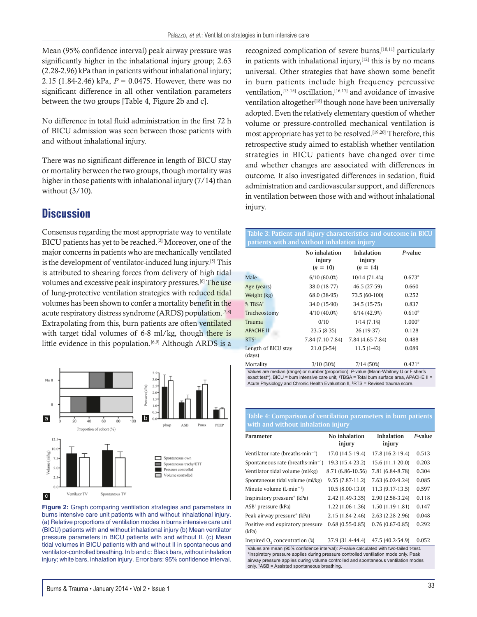Mean (95% confidence interval) peak airway pressure was significantly higher in the inhalational injury group; 2.63 (2.28-2.96) kPa than in patients without inhalational injury; 2.15 (1.84-2.46) kPa, *P* = 0.0475. However, there was no significant difference in all other ventilation parameters between the two groups [Table 4, Figure 2b and c].

No difference in total fluid administration in the first 72 h of BICU admission was seen between those patients with and without inhalational injury.

There was no significant difference in length of BICU stay or mortality between the two groups, though mortality was higher in those patients with inhalational injury (7/14) than without (3/10).

# **Discussion**

Consensus regarding the most appropriate way to ventilate BICU patients has yet to be reached.<sup>[2]</sup> Moreover, one of the major concerns in patients who are mechanically ventilated is the development of ventilator-induced lung injury.[5] This is attributed to shearing forces from delivery of high tidal volumes and excessive peak inspiratory pressures.[6] The use of lung-protective ventilation strategies with reduced tidal volumes has been shown to confer a mortality benefit in the acute respiratory distress syndrome (ARDS) population.[7,8] Extrapolating from this, burn patients are often ventilated with target tidal volumes of 6-8 ml/kg, though there is little evidence in this population.<sup>[6,9]</sup> Although ARDS is a



**Figure 2:** Graph comparing ventilation strategies and parameters in burns intensive care unit patients with and without inhalational injury. (a) Relative proportions of ventilation modes in burns intensive care unit (BICU) patients with and without inhalational injury (b) Mean ventilator pressure parameters in BICU patients with and without II. (c) Mean tidal volumes in BICU patients with and without II in spontaneous and ventilator-controlled breathing. In b and c: Black bars, without inhalation injury; white bars, inhalation injury. Error bars: 95% confidence interval.

recognized complication of severe burns,<sup>[10,11]</sup> particularly in patients with inhalational injury, $[12]$  this is by no means universal. Other strategies that have shown some benefit in burn patients include high frequency percussive ventilation,<sup>[13-15]</sup> oscillation,<sup>[16,17]</sup> and avoidance of invasive ventilation altogether<sup>[18]</sup> though none have been universally adopted. Even the relatively elementary question of whether volume or pressure-controlled mechanical ventilation is most appropriate has yet to be resolved.<sup>[19,20]</sup> Therefore, this retrospective study aimed to establish whether ventilation strategies in BICU patients have changed over time and whether changes are associated with differences in outcome. It also investigated differences in sedation, fluid administration and cardiovascular support, and differences in ventilation between those with and without inhalational injury.

| Table 3: Patient and injury characteristics and outcome in BICU<br>patients with and without inhalation injury                                                                                        |                                       |                                    |          |  |
|-------------------------------------------------------------------------------------------------------------------------------------------------------------------------------------------------------|---------------------------------------|------------------------------------|----------|--|
|                                                                                                                                                                                                       | No inhalation<br>injury<br>$(n = 10)$ | Inhalation<br>injury<br>$(n = 14)$ | P-value  |  |
| Male                                                                                                                                                                                                  | $6/10(60.0\%)$                        | 10/14 (71.4%)                      | $0.673*$ |  |
| Age (years)                                                                                                                                                                                           | 38.0 (18-77)                          | 46.5 (27-59)                       | 0.660    |  |
| Weight (kg)                                                                                                                                                                                           | 68.0 (38-95)                          | 73.5 (60-100)                      | 0.252    |  |
| $%$ TBSA <sup>†</sup>                                                                                                                                                                                 | 34.0 (15-90)                          | 34.5 (15-75)                       | 0.837    |  |
| Tracheostomy                                                                                                                                                                                          | $4/10(40.0\%)$                        | 6/14(42.9%)                        | $0.610*$ |  |
| Trauma                                                                                                                                                                                                | 0/10                                  | 1/14(7.1%)                         | 1.000*   |  |
| <b>APACHE II</b>                                                                                                                                                                                      | $23.5(8-35)$                          | 26 (19-37)                         | 0.128    |  |
| $RTS$ <sup><math>\ddagger</math></sup>                                                                                                                                                                | 7.84 (7.10-7.84)                      | 7.84 (4.65-7.84)                   | 0.488    |  |
| Length of BICU stay<br>(days)                                                                                                                                                                         | $21.0(3-54)$                          | $11.5(1-42)$                       | 0.089    |  |
| Mortality                                                                                                                                                                                             | $3/10(30\%)$                          | 7/14 (50%)                         | $0.421*$ |  |
| Values are median (range) or number (proportion): P-value (Mann-Whitney U or Fisher's<br>$\alpha$ yoot toot*). DICLL = burn intensive ears unit. $\text{TPCA}$ = Total burn surface area. ADACHE IL = |                                       |                                    |          |  |

exact test\*). BICU = burn intensive care unit,  $\dagger$ TBSA = Total burn surface area, APACHE II = Acute Physiology and Chronic Health Evaluation II, ‡ RTS = Revised trauma score.

#### **Table 4: Comparison of ventilation parameters in burn patients with and without inhalation injury**

| Parameter                                             | No inhalation<br>injury | <b>Inhalation</b><br>injury | P-value |
|-------------------------------------------------------|-------------------------|-----------------------------|---------|
| Ventilator rate (breaths $\cdot$ min <sup>-1</sup> )  | 17.0 (14.5-19.4)        | 17.8 (16.2-19.4)            | 0.513   |
| Spontaneous rate (breaths $\cdot$ min <sup>-1</sup> ) | 19.3 (15.4-23.2)        | 15.6 (11.1-20.0)            | 0.203   |
| Ventilator tidal volume (ml/kg)                       | 8.71 (6.86-10.56)       | 7.81 (6.84-8.78)            | 0.304   |
| Spontaneous tidal volume (ml/kg)                      | $9.55(7.87-11.2)$       | 7.63 (6.02-9.24)            | 0.085   |
| Minute volume $(L \cdot min^{-1})$                    | 10.5 (8.00-13.0)        | 11.3 (9.17-13.5)            | 0.597   |
| Inspiratory pressure* (kPa)                           | 2.42 (1.49-3.35)        | 2.90 (2.58-3.24)            | 0.118   |
| ASB <sup>†</sup> pressure (kPa)                       | 1.22 (1.06-1.36)        | $1.50(1.19-1.81)$           | 0.147   |
| Peak airway pressure* (kPa)                           | 2.15 (1.84-2.46)        | 2.63 (2.28-2.96)            | 0.048   |
| Positive end expiratory pressure<br>(kPa)             | $0.68(0.55-0.85)$       | $0.76(0.67-0.85)$           | 0.292   |
| Inspired O <sub>2</sub> concentration (%)             | 37.9 (31.4-44.4)        | 47.5 (40.2-54.9)            | 0.052   |

Values are mean (95% confidence interval): P-value calculated with two-tailed t-test. \*Inspiratory pressure applies during pressure controlled ventilation mode only. Peak airway pressure applies during volume controlled and spontaneous ventilation modes only. † ASB = Assisted spontaneous breathing.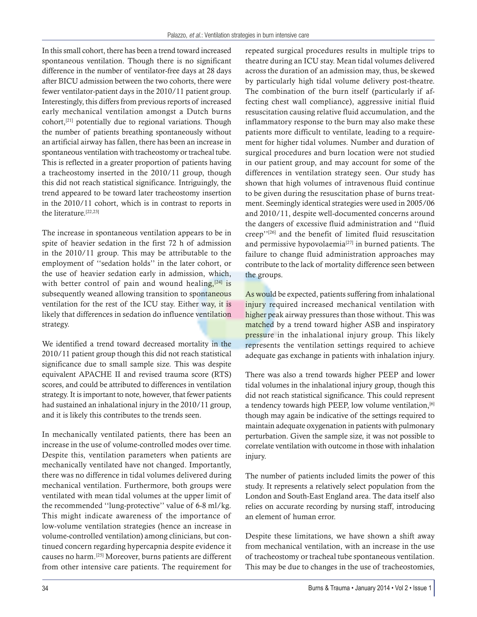In this small cohort, there has been a trend toward increased spontaneous ventilation. Though there is no significant difference in the number of ventilator-free days at 28 days after BICU admission between the two cohorts, there were fewer ventilator-patient days in the 2010/11 patient group. Interestingly, this differs from previous reports of increased early mechanical ventilation amongst a Dutch burns  $\text{cohort},$ <sup>[21]</sup> potentially due to regional variations. Though the number of patients breathing spontaneously without an artificial airway has fallen, there has been an increase in spontaneous ventilation with tracheostomy or tracheal tube. This is reflected in a greater proportion of patients having a tracheostomy inserted in the 2010/11 group, though this did not reach statistical significance. Intriguingly, the trend appeared to be toward later tracheostomy insertion in the 2010/11 cohort, which is in contrast to reports in the literature.<sup>[22,23]</sup>

The increase in spontaneous ventilation appears to be in spite of heavier sedation in the first 72 h of admission in the 2010/11 group. This may be attributable to the employment of ''sedation holds'' in the later cohort, or the use of heavier sedation early in admission, which, with better control of pain and wound healing,  $[24]$  is subsequently weaned allowing transition to spontaneous ventilation for the rest of the ICU stay. Either way, it is likely that differences in sedation do influence ventilation strategy.

We identified a trend toward decreased mortality in the 2010/11 patient group though this did not reach statistical significance due to small sample size. This was despite equivalent APACHE II and revised trauma score (RTS) scores, and could be attributed to differences in ventilation strategy. It is important to note, however, that fewer patients had sustained an inhalational injury in the 2010/11 group, and it is likely this contributes to the trends seen.

In mechanically ventilated patients, there has been an increase in the use of volume-controlled modes over time. Despite this, ventilation parameters when patients are mechanically ventilated have not changed. Importantly, there was no difference in tidal volumes delivered during mechanical ventilation. Furthermore, both groups were ventilated with mean tidal volumes at the upper limit of the recommended ''lung-protective'' value of 6-8 ml/kg. This might indicate awareness of the importance of low-volume ventilation strategies (hence an increase in volume-controlled ventilation) among clinicians, but continued concern regarding hypercapnia despite evidence it causes no harm.[25] Moreover, burns patients are different from other intensive care patients. The requirement for

repeated surgical procedures results in multiple trips to theatre during an ICU stay. Mean tidal volumes delivered across the duration of an admission may, thus, be skewed by particularly high tidal volume delivery post-theatre. The combination of the burn itself (particularly if affecting chest wall compliance), aggressive initial fluid resuscitation causing relative fluid accumulation, and the inflammatory response to the burn may also make these patients more difficult to ventilate, leading to a requirement for higher tidal volumes. Number and duration of surgical procedures and burn location were not studied in our patient group, and may account for some of the differences in ventilation strategy seen. Our study has shown that high volumes of intravenous fluid continue to be given during the resuscitation phase of burns treatment. Seemingly identical strategies were used in 2005/06 and 2010/11, despite well-documented concerns around the dangers of excessive fluid administration and ''fluid creep''[26] and the benefit of limited fluid resuscitation and permissive hypovolaemia<sup>[27]</sup> in burned patients. The failure to change fluid administration approaches may contribute to the lack of mortality difference seen between the groups.

As would be expected, patients suffering from inhalational injury required increased mechanical ventilation with higher peak airway pressures than those without. This was matched by a trend toward higher ASB and inspiratory pressure in the inhalational injury group. This likely represents the ventilation settings required to achieve adequate gas exchange in patients with inhalation injury.

There was also a trend towards higher PEEP and lower tidal volumes in the inhalational injury group, though this did not reach statistical significance. This could represent a tendency towards high PEEP, low volume ventilation,<sup>[6]</sup> though may again be indicative of the settings required to maintain adequate oxygenation in patients with pulmonary perturbation. Given the sample size, it was not possible to correlate ventilation with outcome in those with inhalation injury.

The number of patients included limits the power of this study. It represents a relatively select population from the London and South-East England area. The data itself also relies on accurate recording by nursing staff, introducing an element of human error.

Despite these limitations, we have shown a shift away from mechanical ventilation, with an increase in the use of tracheostomy or tracheal tube spontaneous ventilation. This may be due to changes in the use of tracheostomies,